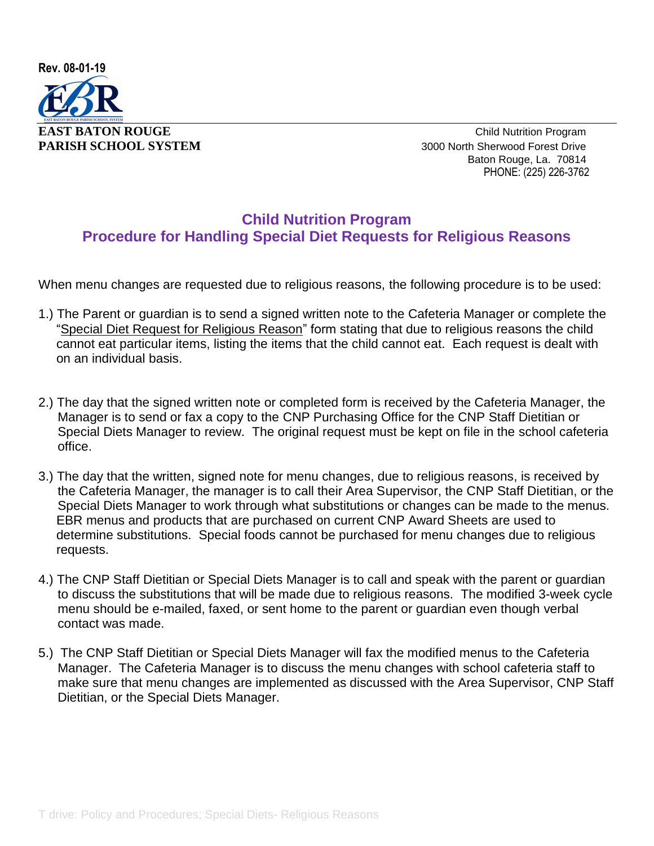

**PARISH SCHOOL SYSTEM** 3000 North Sherwood Forest Drive Baton Rouge, La. 70814 PHONE: (225) 226-3762

## **Child Nutrition Program Procedure for Handling Special Diet Requests for Religious Reasons**

When menu changes are requested due to religious reasons, the following procedure is to be used:

- 1.) The Parent or guardian is to send a signed written note to the Cafeteria Manager or complete the "Special Diet Request for Religious Reason" form stating that due to religious reasons the child cannot eat particular items, listing the items that the child cannot eat. Each request is dealt with on an individual basis.
- 2.) The day that the signed written note or completed form is received by the Cafeteria Manager, the Manager is to send or fax a copy to the CNP Purchasing Office for the CNP Staff Dietitian or Special Diets Manager to review. The original request must be kept on file in the school cafeteria office.
- 3.) The day that the written, signed note for menu changes, due to religious reasons, is received by the Cafeteria Manager, the manager is to call their Area Supervisor, the CNP Staff Dietitian, or the Special Diets Manager to work through what substitutions or changes can be made to the menus. EBR menus and products that are purchased on current CNP Award Sheets are used to determine substitutions. Special foods cannot be purchased for menu changes due to religious requests.
- 4.) The CNP Staff Dietitian or Special Diets Manager is to call and speak with the parent or guardian to discuss the substitutions that will be made due to religious reasons. The modified 3-week cycle menu should be e-mailed, faxed, or sent home to the parent or guardian even though verbal contact was made.
- 5.) The CNP Staff Dietitian or Special Diets Manager will fax the modified menus to the Cafeteria Manager. The Cafeteria Manager is to discuss the menu changes with school cafeteria staff to make sure that menu changes are implemented as discussed with the Area Supervisor, CNP Staff Dietitian, or the Special Diets Manager.